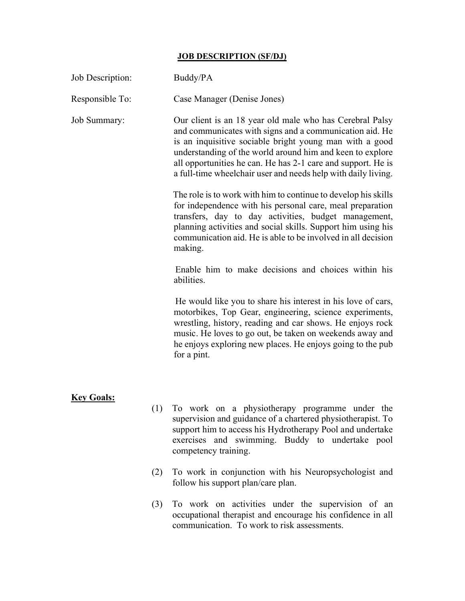## JOB DESCRIPTION (SF/DJ)

| Job Description:    |     | Buddy/PA                                                                                                                                                                                                                                                                                                                                                                     |  |  |  |
|---------------------|-----|------------------------------------------------------------------------------------------------------------------------------------------------------------------------------------------------------------------------------------------------------------------------------------------------------------------------------------------------------------------------------|--|--|--|
| Responsible To:     |     | Case Manager (Denise Jones)                                                                                                                                                                                                                                                                                                                                                  |  |  |  |
| <b>Job Summary:</b> |     | Our client is an 18 year old male who has Cerebral Palsy<br>and communicates with signs and a communication aid. He<br>is an inquisitive sociable bright young man with a good<br>understanding of the world around him and keen to explore<br>all opportunities he can. He has 2-1 care and support. He is<br>a full-time wheelchair user and needs help with daily living. |  |  |  |
|                     |     | The role is to work with him to continue to develop his skills<br>for independence with his personal care, meal preparation<br>transfers, day to day activities, budget management,<br>planning activities and social skills. Support him using his<br>communication aid. He is able to be involved in all decision<br>making.                                               |  |  |  |
|                     |     | Enable him to make decisions and choices within his<br>abilities.                                                                                                                                                                                                                                                                                                            |  |  |  |
|                     |     | He would like you to share his interest in his love of cars,<br>motorbikes, Top Gear, engineering, science experiments,<br>wrestling, history, reading and car shows. He enjoys rock<br>music. He loves to go out, be taken on weekends away and<br>he enjoys exploring new places. He enjoys going to the pub<br>for a pint.                                                |  |  |  |
|                     |     |                                                                                                                                                                                                                                                                                                                                                                              |  |  |  |
| <b>Key Goals:</b>   |     | (1) To work on a physiotherapy programme under the<br>supervision and guidance of a chartered physiotherapist. To<br>support him to access his Hydrotherapy Pool and undertake<br>exercises and swimming. Buddy to undertake pool<br>competency training.                                                                                                                    |  |  |  |
|                     | (2) | To work in conjunction with his Neuropsychologist and<br>follow his support plan/care plan.                                                                                                                                                                                                                                                                                  |  |  |  |
|                     | (3) | To work on activities under the supervision of an                                                                                                                                                                                                                                                                                                                            |  |  |  |

occupational therapist and encourage his confidence in all

communication. To work to risk assessments.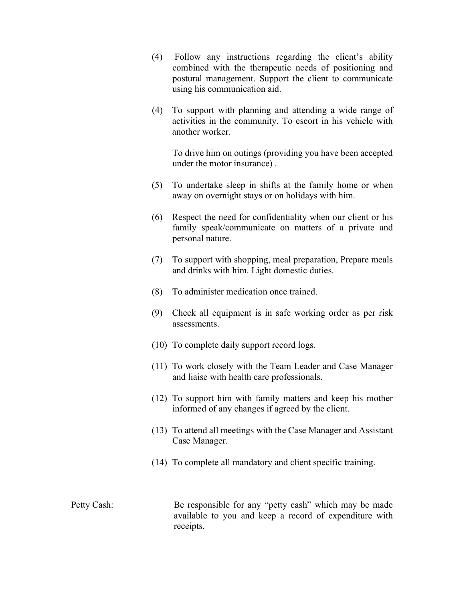- (4) Follow any instructions regarding the client's ability combined with the therapeutic needs of positioning and postural management. Support the client to communicate using his communication aid.
- (4) To support with planning and attending a wide range of activities in the community. To escort in his vehicle with another worker.

To drive him on outings (providing you have been accepted under the motor insurance) .

- (5) To undertake sleep in shifts at the family home or when away on overnight stays or on holidays with him.
- (6) Respect the need for confidentiality when our client or his family speak/communicate on matters of a private and personal nature.
- (7) To support with shopping, meal preparation, Prepare meals and drinks with him. Light domestic duties.
- (8) To administer medication once trained.
- (9) Check all equipment is in safe working order as per risk assessments.
- (10) To complete daily support record logs.
- (11) To work closely with the Team Leader and Case Manager and liaise with health care professionals.
- (12) To support him with family matters and keep his mother informed of any changes if agreed by the client.
- (13) To attend all meetings with the Case Manager and Assistant Case Manager.
- (14) To complete all mandatory and client specific training.

Petty Cash: Be responsible for any "petty cash" which may be made available to you and keep a record of expenditure with receipts.